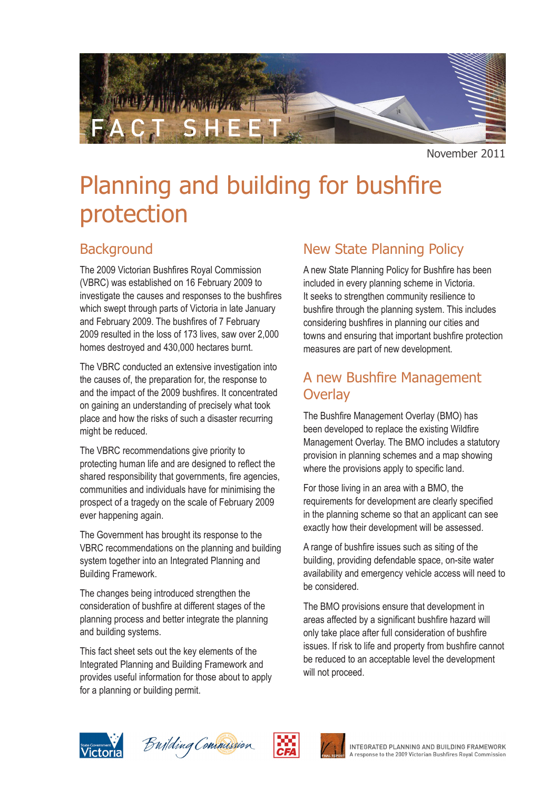

November 2011

# Planning and building for bushfire protection

# **Background**

The 2009 Victorian Bushfires Royal Commission (VBRC) was established on 16 February 2009 to investigate the causes and responses to the bushfires which swept through parts of Victoria in late January and February 2009. The bushfires of 7 February 2009 resulted in the loss of 173 lives, saw over 2,000 homes destroyed and 430,000 hectares burnt.

The VBRC conducted an extensive investigation into the causes of, the preparation for, the response to and the impact of the 2009 bushfires. It concentrated on gaining an understanding of precisely what took place and how the risks of such a disaster recurring might be reduced.

The VBRC recommendations give priority to protecting human life and are designed to reflect the shared responsibility that governments, fire agencies, communities and individuals have for minimising the prospect of a tragedy on the scale of February 2009 ever happening again.

The Government has brought its response to the VBRC recommendations on the planning and building system together into an Integrated Planning and Building Framework.

The changes being introduced strengthen the consideration of bushfire at different stages of the planning process and better integrate the planning and building systems.

This fact sheet sets out the key elements of the Integrated Planning and Building Framework and provides useful information for those about to apply for a planning or building permit.

# New State Planning Policy

A new State Planning Policy for Bushfire has been included in every planning scheme in Victoria. It seeks to strengthen community resilience to bushfire through the planning system. This includes considering bushfires in planning our cities and towns and ensuring that important bushfire protection measures are part of new development.

### A new Bushfire Management **Overlay**

The Bushfire Management Overlay (BMO) has been developed to replace the existing Wildfire Management Overlay. The BMO includes a statutory provision in planning schemes and a map showing where the provisions apply to specific land.

For those living in an area with a BMO, the requirements for development are clearly specified in the planning scheme so that an applicant can see exactly how their development will be assessed.

A range of bushfire issues such as siting of the building, providing defendable space, on-site water availability and emergency vehicle access will need to be considered.

The BMO provisions ensure that development in areas affected by a significant bushfire hazard will only take place after full consideration of bushfire issues. If risk to life and property from bushfire cannot be reduced to an acceptable level the development will not proceed.







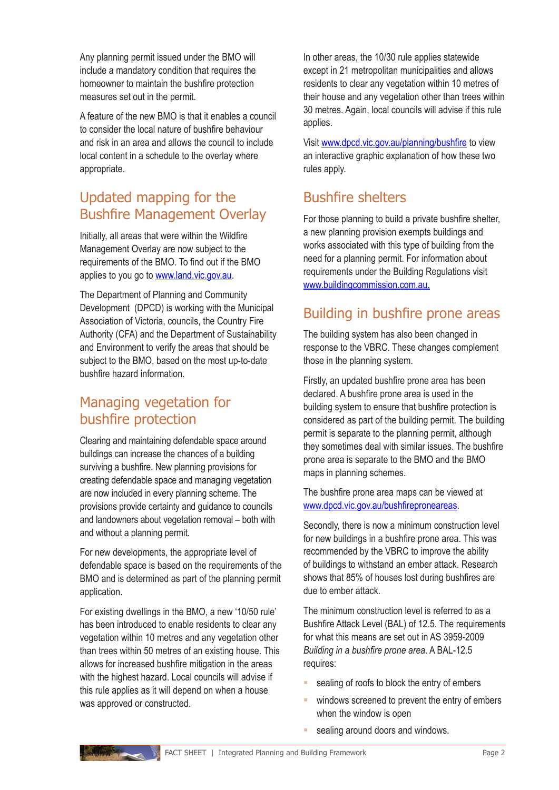Any planning permit issued under the BMO will include a mandatory condition that requires the homeowner to maintain the bushfire protection measures set out in the permit.

A feature of the new BMO is that it enables a council to consider the local nature of bushfire behaviour and risk in an area and allows the council to include local content in a schedule to the overlay where appropriate.

# Updated mapping for the Bushfire Management Overlay

Initially, all areas that were within the Wildfire Management Overlay are now subject to the requirements of the BMO. To find out if the BMO applies to you go to [www.land.vic.gov.au.](http://www.land.vic.gov.au)

The Department of Planning and Community Development (DPCD) is working with the Municipal Association of Victoria, councils, the Country Fire Authority (CFA) and the Department of Sustainability and Environment to verify the areas that should be subject to the BMO, based on the most up-to-date bushfire hazard information.

### Managing vegetation for bushfire protection

Clearing and maintaining defendable space around buildings can increase the chances of a building surviving a bushfire. New planning provisions for creating defendable space and managing vegetation are now included in every planning scheme. The provisions provide certainty and guidance to councils and landowners about vegetation removal – both with and without a planning permit.

For new developments, the appropriate level of defendable space is based on the requirements of the BMO and is determined as part of the planning permit application.

For existing dwellings in the BMO, a new '10/50 rule' has been introduced to enable residents to clear any vegetation within 10 metres and any vegetation other than trees within 50 metres of an existing house. This allows for increased bushfire mitigation in the areas with the highest hazard. Local councils will advise if this rule applies as it will depend on when a house was approved or constructed.

In other areas, the 10/30 rule applies statewide except in 21 metropolitan municipalities and allows residents to clear any vegetation within 10 metres of their house and any vegetation other than trees within 30 metres. Again, local councils will advise if this rule applies.

Visit [www.dpcd.vic.gov.au/planning/bushfire](http://www.dpcd.vic.gov.au/planning/bushfire) to view an interactive graphic explanation of how these two rules apply.

# Bushfire shelters

For those planning to build a private bushfire shelter, a new planning provision exempts buildings and works associated with this type of building from the need for a planning permit. For information about requirements under the Building Regulations visit [www.buildingcommission.com.au](http://www.buildingcommission.com.au).

### Building in bushfire prone areas

The building system has also been changed in response to the VBRC. These changes complement those in the planning system.

Firstly, an updated bushfire prone area has been declared. A bushfire prone area is used in the building system to ensure that bushfire protection is considered as part of the building permit. The building permit is separate to the planning permit, although they sometimes deal with similar issues. The bushfire prone area is separate to the BMO and the BMO maps in planning schemes.

The bushfire prone area maps can be viewed at [www.dpcd.vic.gov.au/bushfireproneareas.](http://www.dpcd.vic.gov.au/bushfireproneareas)

Secondly, there is now a minimum construction level for new buildings in a bushfire prone area. This was recommended by the VBRC to improve the ability of buildings to withstand an ember attack. Research shows that 85% of houses lost during bushfires are due to ember attack.

The minimum construction level is referred to as a Bushfire Attack Level (BAL) of 12.5. The requirements for what this means are set out in AS 3959-2009 *Building in a bushfire prone area*. A BAL-12.5 requires:

- sealing of roofs to block the entry of embers
- **Windows screened to prevent the entry of embers** when the window is open
- **sealing around doors and windows.**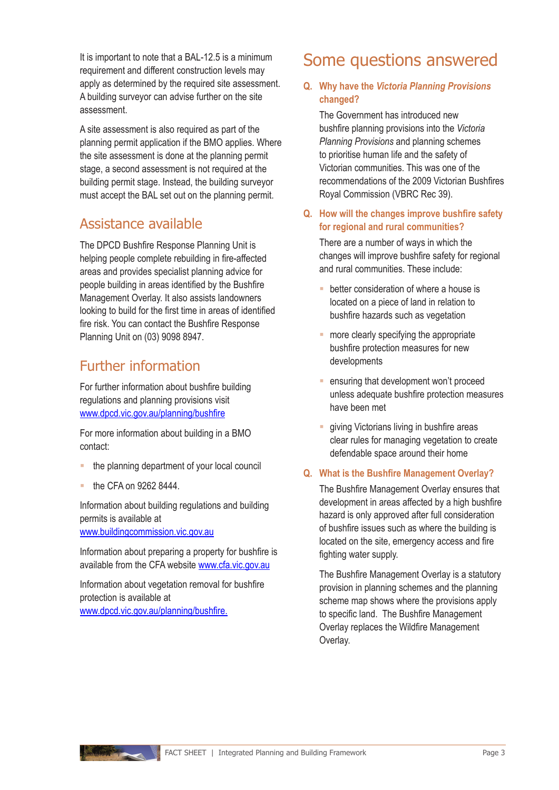It is important to note that a BAL-12.5 is a minimum requirement and different construction levels may apply as determined by the required site assessment. A building surveyor can advise further on the site assessment.

A site assessment is also required as part of the planning permit application if the BMO applies. Where the site assessment is done at the planning permit stage, a second assessment is not required at the building permit stage. Instead, the building surveyor must accept the BAL set out on the planning permit.

### Assistance available

The DPCD Bushfire Response Planning Unit is helping people complete rebuilding in fire-affected areas and provides specialist planning advice for people building in areas identified by the Bushfire Management Overlay. It also assists landowners looking to build for the first time in areas of identified fire risk. You can contact the Bushfire Response Planning Unit on (03) 9098 8947.

# Further information

For further information about bushfire building regulations and planning provisions visit [www.dpcd.vic.gov.au/planning](http://www.dpcd.vic.gov.au/planning/bushfire)/bushfire

For more information about building in a BMO contact:

- the planning department of your local council
- the CFA on 9262 8444.

Information about building regulations and building permits is available at

[www.buildingcommission.vic.gov.au](http://www.buildingcommission.vic.gov.au)

Information about preparing a property for bushfire is available from the CFA website [www.cfa.vic.gov.au](http://www.cfa.vic.gov.au)

Information about vegetation removal for bushfire protection is available at [www.dpcd.vic.gov.au/planning/bushfire.](http://www.dpcd.vic.gov.au/planning/bushfire)

# Some questions answered

#### **Q. Why have the** *Victoria Planning Provisions* **changed?**

The Government has introduced new bushfire planning provisions into the *Victoria Planning Provisions* and planning schemes to prioritise human life and the safety of Victorian communities. This was one of the recommendations of the 2009 Victorian Bushfires Royal Commission (VBRC Rec 39).

#### **Q. How will the changes improve bushfire safety for regional and rural communities?**

There are a number of ways in which the changes will improve bushfire safety for regional and rural communities. These include:

- **E** better consideration of where a house is located on a piece of land in relation to bushfire hazards such as vegetation
- **n** more clearly specifying the appropriate bushfire protection measures for new developments
- **EXECUTE:** ensuring that development won't proceed unless adequate bushfire protection measures have been met
- **giving Victorians living in bushfire areas** clear rules for managing vegetation to create defendable space around their home

#### **Q. What is the Bushfire Management Overlay?**

The Bushfire Management Overlay ensures that development in areas affected by a high bushfire hazard is only approved after full consideration of bushfire issues such as where the building is located on the site, emergency access and fire fighting water supply.

The Bushfire Management Overlay is a statutory provision in planning schemes and the planning scheme map shows where the provisions apply to specific land. The Bushfire Management Overlay replaces the Wildfire Management Overlay.